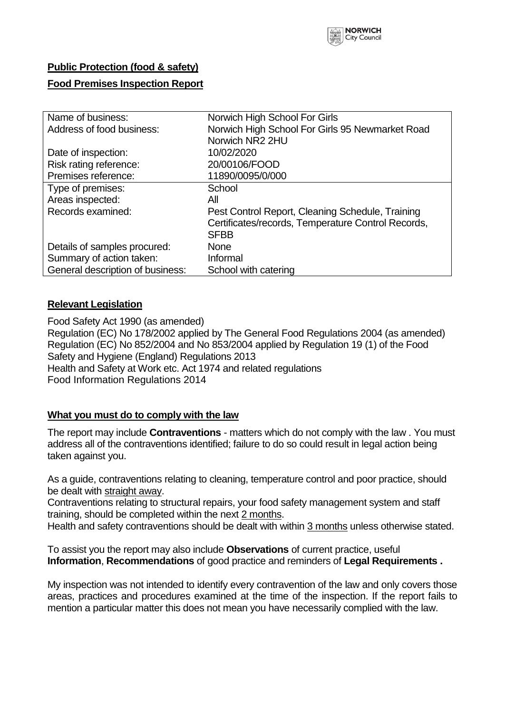

### **Public Protection (food & safety)**

#### **Food Premises Inspection Report**

| Name of business:                | Norwich High School For Girls                      |  |  |  |  |  |
|----------------------------------|----------------------------------------------------|--|--|--|--|--|
| Address of food business:        | Norwich High School For Girls 95 Newmarket Road    |  |  |  |  |  |
|                                  | Norwich NR2 2HU                                    |  |  |  |  |  |
| Date of inspection:              | 10/02/2020                                         |  |  |  |  |  |
| Risk rating reference:           | 20/00106/FOOD                                      |  |  |  |  |  |
| Premises reference:              | 11890/0095/0/000                                   |  |  |  |  |  |
| Type of premises:                | School                                             |  |  |  |  |  |
| Areas inspected:                 | All                                                |  |  |  |  |  |
| Records examined:                | Pest Control Report, Cleaning Schedule, Training   |  |  |  |  |  |
|                                  | Certificates/records, Temperature Control Records, |  |  |  |  |  |
|                                  | <b>SFBB</b>                                        |  |  |  |  |  |
| Details of samples procured:     | <b>None</b>                                        |  |  |  |  |  |
| Summary of action taken:         | Informal                                           |  |  |  |  |  |
| General description of business: | School with catering                               |  |  |  |  |  |

#### **Relevant Legislation**

Food Safety Act 1990 (as amended) Regulation (EC) No 178/2002 applied by The General Food Regulations 2004 (as amended) Regulation (EC) No 852/2004 and No 853/2004 applied by Regulation 19 (1) of the Food Safety and Hygiene (England) Regulations 2013 Health and Safety at Work etc. Act 1974 and related regulations Food Information Regulations 2014

#### **What you must do to comply with the law**

The report may include **Contraventions** - matters which do not comply with the law . You must address all of the contraventions identified; failure to do so could result in legal action being taken against you.

As a guide, contraventions relating to cleaning, temperature control and poor practice, should be dealt with straight away.

Contraventions relating to structural repairs, your food safety management system and staff training, should be completed within the next 2 months.

Health and safety contraventions should be dealt with within 3 months unless otherwise stated.

To assist you the report may also include **Observations** of current practice, useful **Information**, **Recommendations** of good practice and reminders of **Legal Requirements .**

My inspection was not intended to identify every contravention of the law and only covers those areas, practices and procedures examined at the time of the inspection. If the report fails to mention a particular matter this does not mean you have necessarily complied with the law.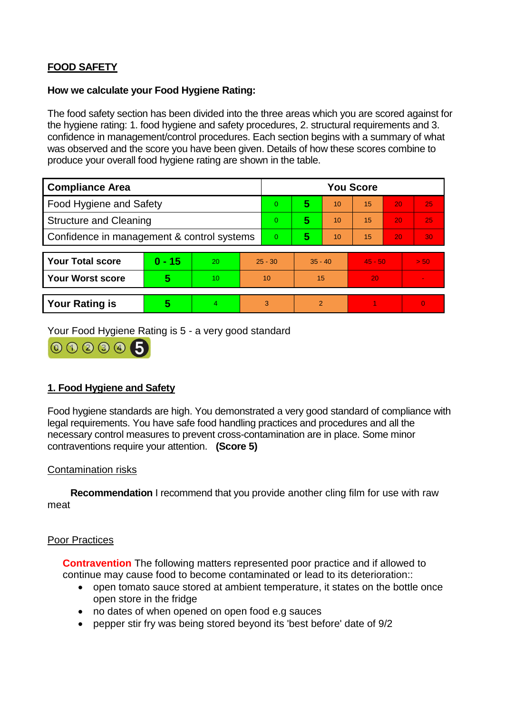# **FOOD SAFETY**

#### **How we calculate your Food Hygiene Rating:**

The food safety section has been divided into the three areas which you are scored against for the hygiene rating: 1. food hygiene and safety procedures, 2. structural requirements and 3. confidence in management/control procedures. Each section begins with a summary of what was observed and the score you have been given. Details of how these scores combine to produce your overall food hygiene rating are shown in the table.

| <b>Compliance Area</b>                     |                         |                  |           | <b>You Score</b> |                |    |           |    |                |  |  |
|--------------------------------------------|-------------------------|------------------|-----------|------------------|----------------|----|-----------|----|----------------|--|--|
| Food Hygiene and Safety                    |                         |                  | 0         | 5                | 10             | 15 | 20        | 25 |                |  |  |
| <b>Structure and Cleaning</b>              |                         |                  | 0         | 5                | 10             | 15 | 20        | 25 |                |  |  |
| Confidence in management & control systems |                         |                  | 0         | 5                | 10             | 15 | 20        | 30 |                |  |  |
|                                            |                         |                  |           |                  |                |    |           |    |                |  |  |
| <b>Your Total score</b>                    | $0 - 15$                | 20               | $25 - 30$ |                  | $35 - 40$      |    | $45 - 50$ |    | > 50           |  |  |
| <b>Your Worst score</b>                    | $\overline{\mathbf{5}}$ | 10 <sup>10</sup> | 10        |                  | 15             |    | 20        |    | $\blacksquare$ |  |  |
|                                            |                         |                  |           |                  |                |    |           |    |                |  |  |
| <b>Your Rating is</b>                      | 5                       | $\overline{4}$   | 3         |                  | $\overline{2}$ |    |           |    | $\overline{0}$ |  |  |

Your Food Hygiene Rating is 5 - a very good standard



## **1. Food Hygiene and Safety**

Food hygiene standards are high. You demonstrated a very good standard of compliance with legal requirements. You have safe food handling practices and procedures and all the necessary control measures to prevent cross-contamination are in place. Some minor contraventions require your attention. **(Score 5)**

### Contamination risks

 **Recommendation** I recommend that you provide another cling film for use with raw meat

#### Poor Practices

**Contravention** The following matters represented poor practice and if allowed to continue may cause food to become contaminated or lead to its deterioration::

- open tomato sauce stored at ambient temperature, it states on the bottle once open store in the fridge
- no dates of when opened on open food e.g sauces
- pepper stir fry was being stored beyond its 'best before' date of 9/2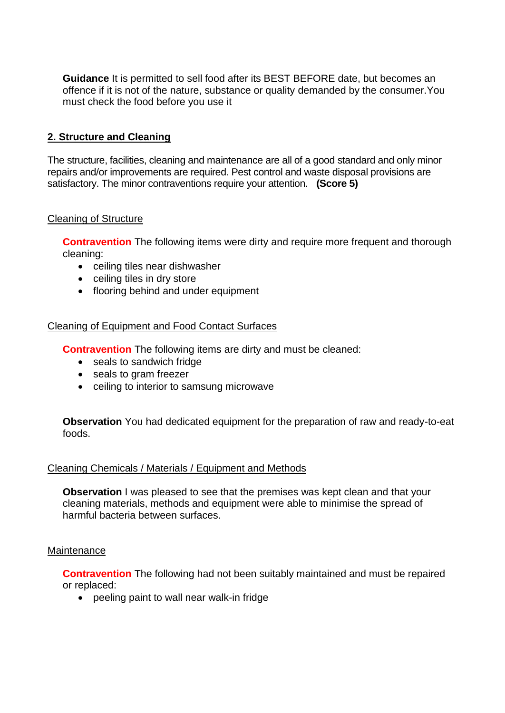**Guidance** It is permitted to sell food after its BEST BEFORE date, but becomes an offence if it is not of the nature, substance or quality demanded by the consumer.You must check the food before you use it

## **2. Structure and Cleaning**

The structure, facilities, cleaning and maintenance are all of a good standard and only minor repairs and/or improvements are required. Pest control and waste disposal provisions are satisfactory. The minor contraventions require your attention. **(Score 5)**

### Cleaning of Structure

**Contravention** The following items were dirty and require more frequent and thorough cleaning:

- ceiling tiles near dishwasher
- ceiling tiles in dry store
- flooring behind and under equipment

## Cleaning of Equipment and Food Contact Surfaces

**Contravention** The following items are dirty and must be cleaned:

- seals to sandwich fridge
- seals to gram freezer
- ceiling to interior to samsung microwave

**Observation** You had dedicated equipment for the preparation of raw and ready-to-eat foods.

### Cleaning Chemicals / Materials / Equipment and Methods

**Observation** I was pleased to see that the premises was kept clean and that your cleaning materials, methods and equipment were able to minimise the spread of harmful bacteria between surfaces.

### **Maintenance**

**Contravention** The following had not been suitably maintained and must be repaired or replaced:

peeling paint to wall near walk-in fridge